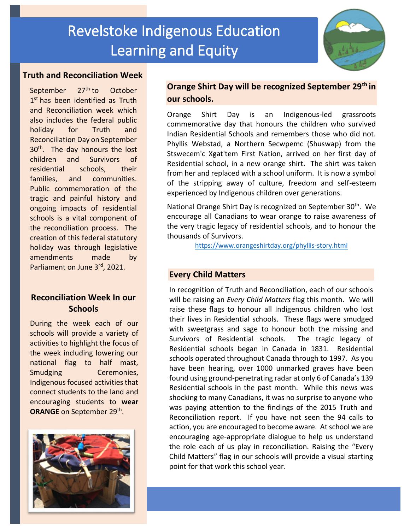

#### **Truth and Reconciliation Week**

September 27<sup>th</sup> to October 1<sup>st</sup> has been identified as Truth and Reconciliation week which also includes the federal public holiday for Truth and Reconciliation Day on September 30<sup>th</sup>. The day honours the lost children and Survivors of residential schools, their families, and communities. Public commemoration of the tragic and painful history and ongoing impacts of residential schools is a vital component of the reconciliation process. The creation of this federal statutory holiday was through legislative amendments made by Parliament on June 3rd, 2021.

### **Reconciliation Week In our Schools**

During the week each of our schools will provide a variety of activities to highlight the focus of the week including lowering our national flag to half mast, Smudging Ceremonies, Indigenous focused activities that connect students to the land and encouraging students to **wear**  ORANGE on September 29<sup>th</sup>.



## **Orange Shirt Day will be recognized September 29th in our schools.**

Orange Shirt Day is an Indigenous-led grassroots commemorative day that honours the children who survived Indian Residential Schools and remembers those who did not. Phyllis Webstad, a Northern Secwpemc (Shuswap) from the Stswecem'c Xgat'tem First Nation, arrived on her first day of Residential school, in a new orange shirt. The shirt was taken from her and replaced with a school uniform. It is now a symbol of the stripping away of culture, freedom and self-esteem experienced by Indigenous children over generations.

National Orange Shirt Day is recognized on September 30<sup>th</sup>. We encourage all Canadians to wear orange to raise awareness of the very tragic legacy of residential schools, and to honour the thousands of Survivors.

<https://www.orangeshirtday.org/phyllis-story.html>

#### **Every Child Matters**

In recognition of Truth and Reconciliation, each of our schools will be raising an *Every Child Matters* flag this month. We will raise these flags to honour all Indigenous children who lost their lives in Residential schools. These flags were smudged with sweetgrass and sage to honour both the missing and Survivors of Residential schools. The tragic legacy of Residential schools began in Canada in 1831. Residential schools operated throughout Canada through to 1997. As you have been hearing, over 1000 unmarked graves have been found using ground-penetrating radar at only 6 of Canada's 139 Residential schools in the past month. While this news was shocking to many Canadians, it was no surprise to anyone who was paying attention to the findings of the 2015 Truth and Reconciliation report. If you have not seen the 94 calls to action, you are encouraged to become aware. At school we are encouraging age-appropriate dialogue to help us understand the role each of us play in reconciliation. Raising the "Every Child Matters" flag in our schools will provide a visual starting point for that work this school year.